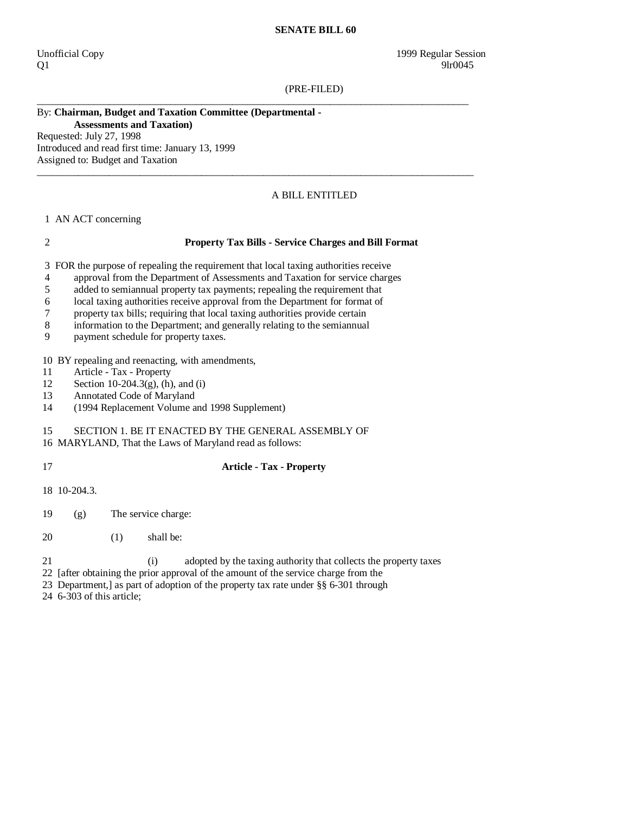#### **SENATE BILL 60**

 $Q1$  9lr0045

(PRE-FILED)

\_\_\_\_\_\_\_\_\_\_\_\_\_\_\_\_\_\_\_\_\_\_\_\_\_\_\_\_\_\_\_\_\_\_\_\_\_\_\_\_\_\_\_\_\_\_\_\_\_\_\_\_\_\_\_\_\_\_\_\_\_\_\_\_\_\_\_\_\_\_\_\_\_\_\_\_\_\_\_\_\_\_\_\_

 $\_$  ,  $\_$  ,  $\_$  ,  $\_$  ,  $\_$  ,  $\_$  ,  $\_$  ,  $\_$  ,  $\_$  ,  $\_$  ,  $\_$  ,  $\_$  ,  $\_$  ,  $\_$  ,  $\_$  ,  $\_$  ,  $\_$  ,  $\_$  ,  $\_$  ,  $\_$  ,  $\_$  ,  $\_$  ,  $\_$  ,  $\_$  ,  $\_$  ,  $\_$  ,  $\_$  ,  $\_$  ,  $\_$  ,  $\_$  ,  $\_$  ,  $\_$  ,  $\_$  ,  $\_$  ,  $\_$  ,  $\_$  ,  $\_$  ,

### By: **Chairman, Budget and Taxation Committee (Departmental - Assessments and Taxation)**

Requested: July 27, 1998 Introduced and read first time: January 13, 1999 Assigned to: Budget and Taxation

## A BILL ENTITLED

1 AN ACT concerning

#### 2 **Property Tax Bills - Service Charges and Bill Format**

3 FOR the purpose of repealing the requirement that local taxing authorities receive

- 4 approval from the Department of Assessments and Taxation for service charges
- 5 added to semiannual property tax payments; repealing the requirement that
- 6 local taxing authorities receive approval from the Department for format of
- 7 property tax bills; requiring that local taxing authorities provide certain
- 8 information to the Department; and generally relating to the semiannual
- 9 payment schedule for property taxes.

10 BY repealing and reenacting, with amendments,

- 11 Article Tax Property<br>12 Section 10-204.3(g), (h)
- Section 10-204.3 $(g)$ , (h), and (i)
- 13 Annotated Code of Maryland
- 14 (1994 Replacement Volume and 1998 Supplement)

# 15 SECTION 1. BE IT ENACTED BY THE GENERAL ASSEMBLY OF

- 16 MARYLAND, That the Laws of Maryland read as follows:
- 

# 17 **Article - Tax - Property**

- 18 10-204.3.
- 19 (g) The service charge:
- 20 (1) shall be:
- 21 (i) adopted by the taxing authority that collects the property taxes
- 22 [after obtaining the prior approval of the amount of the service charge from the
- 23 Department,] as part of adoption of the property tax rate under §§ 6-301 through
- 24 6-303 of this article;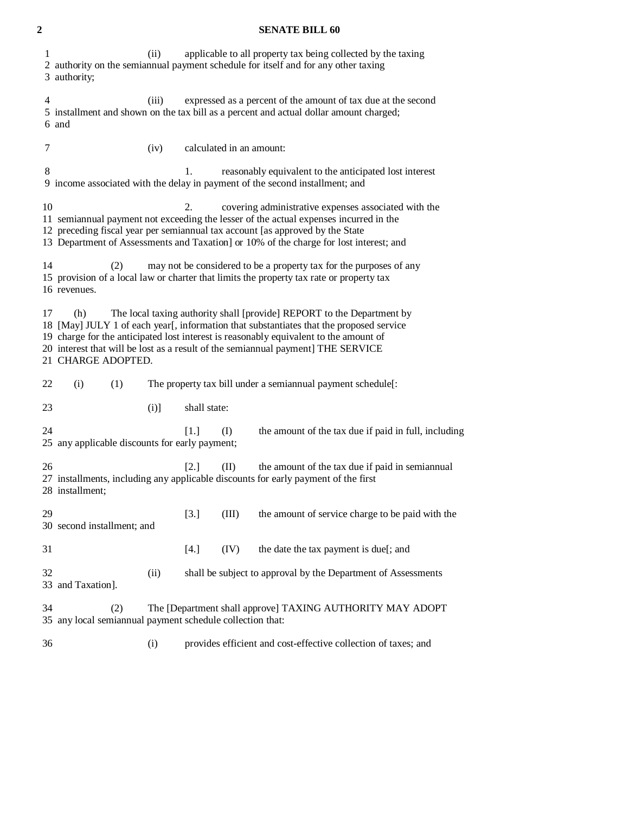### **2 SENATE BILL 60**

| 1              | 3 authority;                                                                                                                                                                                                                                                                                                                                                                | (ii)    |              |                          | applicable to all property tax being collected by the taxing<br>2 authority on the semiannual payment schedule for itself and for any other taxing |
|----------------|-----------------------------------------------------------------------------------------------------------------------------------------------------------------------------------------------------------------------------------------------------------------------------------------------------------------------------------------------------------------------------|---------|--------------|--------------------------|----------------------------------------------------------------------------------------------------------------------------------------------------|
| $\overline{4}$ | (iii)<br>expressed as a percent of the amount of tax due at the second<br>5 installment and shown on the tax bill as a percent and actual dollar amount charged;<br>6 and                                                                                                                                                                                                   |         |              |                          |                                                                                                                                                    |
| 7              |                                                                                                                                                                                                                                                                                                                                                                             | (iv)    |              | calculated in an amount: |                                                                                                                                                    |
| 8              |                                                                                                                                                                                                                                                                                                                                                                             |         | 1.           |                          | reasonably equivalent to the anticipated lost interest<br>9 income associated with the delay in payment of the second installment; and             |
| 10             | 2.<br>covering administrative expenses associated with the<br>11 semiannual payment not exceeding the lesser of the actual expenses incurred in the<br>12 preceding fiscal year per semiannual tax account [as approved by the State<br>13 Department of Assessments and Taxation] or 10% of the charge for lost interest; and                                              |         |              |                          |                                                                                                                                                    |
| 14             | may not be considered to be a property tax for the purposes of any<br>(2)<br>15 provision of a local law or charter that limits the property tax rate or property tax<br>16 revenues.                                                                                                                                                                                       |         |              |                          |                                                                                                                                                    |
| 17             | The local taxing authority shall [provide] REPORT to the Department by<br>(h)<br>18 [May] JULY 1 of each year[, information that substantiates that the proposed service<br>19 charge for the anticipated lost interest is reasonably equivalent to the amount of<br>20 interest that will be lost as a result of the semiannual payment] THE SERVICE<br>21 CHARGE ADOPTED. |         |              |                          |                                                                                                                                                    |
| 22             | (i)<br>(1)<br>The property tax bill under a semiannual payment schedule[:                                                                                                                                                                                                                                                                                                   |         |              |                          |                                                                                                                                                    |
| 23             |                                                                                                                                                                                                                                                                                                                                                                             | $(i)$ ] | shall state: |                          |                                                                                                                                                    |
| 24             | 25 any applicable discounts for early payment;                                                                                                                                                                                                                                                                                                                              |         | [1.]         | (I)                      | the amount of the tax due if paid in full, including                                                                                               |
| 26             | [2.]<br>(II)<br>the amount of the tax due if paid in semiannual<br>27 installments, including any applicable discounts for early payment of the first<br>28 installment;                                                                                                                                                                                                    |         |              |                          |                                                                                                                                                    |
| 29             | 30 second installment; and                                                                                                                                                                                                                                                                                                                                                  |         | [3.]         | (III)                    | the amount of service charge to be paid with the                                                                                                   |
| 31             |                                                                                                                                                                                                                                                                                                                                                                             |         | [4.]         | (IV)                     | the date the tax payment is due[; and                                                                                                              |
| 32             | 33 and Taxation].                                                                                                                                                                                                                                                                                                                                                           | (ii)    |              |                          | shall be subject to approval by the Department of Assessments                                                                                      |
| 34             | (2)<br>The [Department shall approve] TAXING AUTHORITY MAY ADOPT<br>35 any local semiannual payment schedule collection that:                                                                                                                                                                                                                                               |         |              |                          |                                                                                                                                                    |
| 36             |                                                                                                                                                                                                                                                                                                                                                                             | (i)     |              |                          | provides efficient and cost-effective collection of taxes; and                                                                                     |